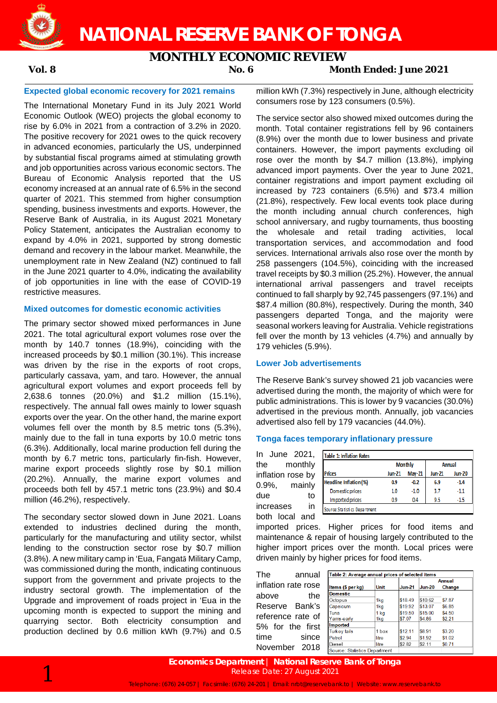

# **NATIONAL RESERVE BANK OF TONGA**

# **MONTHLY ECONOMIC REVIEW**<br>No. 6 Mor

**Vol. 8 No. 6 Month Ended: June 2021**

### **Expected global economic recovery for 2021 remains**

The International Monetary Fund in its July 2021 World Economic Outlook (WEO) projects the global economy to rise by 6.0% in 2021 from a contraction of 3.2% in 2020. The positive recovery for 2021 owes to the quick recovery in advanced economies, particularly the US, underpinned by substantial fiscal programs aimed at stimulating growth and job opportunities across various economic sectors. The Bureau of Economic Analysis reported that the US economy increased at an annual rate of 6.5% in the second quarter of 2021. This stemmed from higher consumption spending, business investments and exports. However, the Reserve Bank of Australia, in its August 2021 Monetary Policy Statement, anticipates the Australian economy to expand by 4.0% in 2021, supported by strong domestic demand and recovery in the labour market. Meanwhile, the unemployment rate in New Zealand (NZ) continued to fall in the June 2021 quarter to 4.0%, indicating the availability of job opportunities in line with the ease of COVID-19 restrictive measures.

### **Mixed outcomes for domestic economic activities**

The primary sector showed mixed performances in June 2021. The total agricultural export volumes rose over the month by 140.7 tonnes (18.9%), coinciding with the increased proceeds by \$0.1 million (30.1%). This increase was driven by the rise in the exports of root crops, particularly cassava, yam, and taro. However, the annual agricultural export volumes and export proceeds fell by 2,638.6 tonnes (20.0%) and \$1.2 million (15.1%), respectively. The annual fall owes mainly to lower squash exports over the year. On the other hand, the marine export volumes fell over the month by 8.5 metric tons (5.3%), mainly due to the fall in tuna exports by 10.0 metric tons (6.3%). Additionally, local marine production fell during the month by 6.7 metric tons, particularly fin-fish. However, marine export proceeds slightly rose by \$0.1 million (20.2%). Annually, the marine export volumes and proceeds both fell by 457.1 metric tons (23.9%) and \$0.4 million (46.2%), respectively.

The secondary sector slowed down in June 2021. Loans extended to industries declined during the month, particularly for the manufacturing and utility sector, whilst lending to the construction sector rose by \$0.7 million (3.8%). A new military camp in 'Eua, Fangatā Military Camp, was commissioned during the month, indicating continuous support from the government and private projects to the industry sectoral growth. The implementation of the Upgrade and improvement of roads project in 'Eua in the upcoming month is expected to support the mining and quarrying sector. Both electricity consumption and production declined by 0.6 million kWh (9.7%) and 0.5

million kWh (7.3%) respectively in June, although electricity consumers rose by 123 consumers (0.5%).

The service sector also showed mixed outcomes during the month. Total container registrations fell by 96 containers (8.9%) over the month due to lower business and private containers. However, the import payments excluding oil rose over the month by \$4.7 million (13.8%), implying advanced import payments. Over the year to June 2021, container registrations and import payment excluding oil increased by 723 containers (6.5%) and \$73.4 million (21.8%), respectively. Few local events took place during the month including annual church conferences, high school anniversary, and rugby tournaments, thus boosting the wholesale and retail trading activities, local transportation services, and accommodation and food services. International arrivals also rose over the month by 258 passengers (104.5%), coinciding with the increased travel receipts by \$0.3 million (25.2%). However, the annual international arrival passengers and travel receipts continued to fall sharply by 92,745 passengers (97.1%) and \$87.4 million (80.8%), respectively. During the month, 340 passengers departed Tonga, and the majority were seasonal workers leaving for Australia. Vehicle registrations fell over the month by 13 vehicles (4.7%) and annually by 179 vehicles (5.9%).

#### **Lower Job advertisements**

The Reserve Bank's survey showed 21 job vacancies were advertised during the month, the majority of which were for public administrations. This is lower by 9 vacancies (30.0%) advertised in the previous month. Annually, job vacancies advertised also fell by 179 vacancies (44.0%).

#### **Tonga faces temporary inflationary pressure**

In June 2021, the monthly inflation rose by 0.9%, mainly due to increases in both local and

|                               |               | <b>Monthly</b> |               | <b>Annual</b> |
|-------------------------------|---------------|----------------|---------------|---------------|
| <b>Prices</b>                 | <b>Jun-21</b> | <b>May-21</b>  | <b>Jun-21</b> | <b>Jun-20</b> |
| <b>Headline Inflation (%)</b> | 0.9           | $-0.2$         | 6.9           | $-1.4$        |
| Domestic prices               | 10            | $-1.0$         | 37            | $-1.1$        |
| Imported prices               | 0.9           | 0.4            | 9.5           | $-15$         |

imported prices. Higher prices for food items and maintenance & repair of housing largely contributed to the higher import prices over the month. Local prices were driven mainly by higher prices for food items.

The annual inflation rate rose above the Reserve Bank's reference rate of 5% for the first time since November 2018

|                     |             |               |         | Annual        |  |  |  |  |
|---------------------|-------------|---------------|---------|---------------|--|--|--|--|
| Items (\$ per kg)   | <b>Unit</b> | <b>Jun-21</b> | Jun-20  | Change        |  |  |  |  |
| <b>Domestic</b>     |             |               |         |               |  |  |  |  |
| Octopus             | 1kg         | \$18.49       | \$10.62 | \$7.87        |  |  |  |  |
| Capsicum            | 1kg         | \$19.92       | \$13.07 | <b>\$6.85</b> |  |  |  |  |
| Tuna                | $1$ kg      | \$19.50       | \$15.00 | \$4.50        |  |  |  |  |
| Yams-early          | 1kg         | \$7.07        | \$4.86  | \$2.21        |  |  |  |  |
| <b>Imported</b>     |             |               |         |               |  |  |  |  |
| <b>Turkey tails</b> | 1 box       | \$12.11       | \$8.91  | \$3.20        |  |  |  |  |
| Petrol              | litre       | \$2.94        | \$1.92  | \$1.02        |  |  |  |  |
| Diesel              | litre       | \$2.82        | \$2.11  | \$0.71        |  |  |  |  |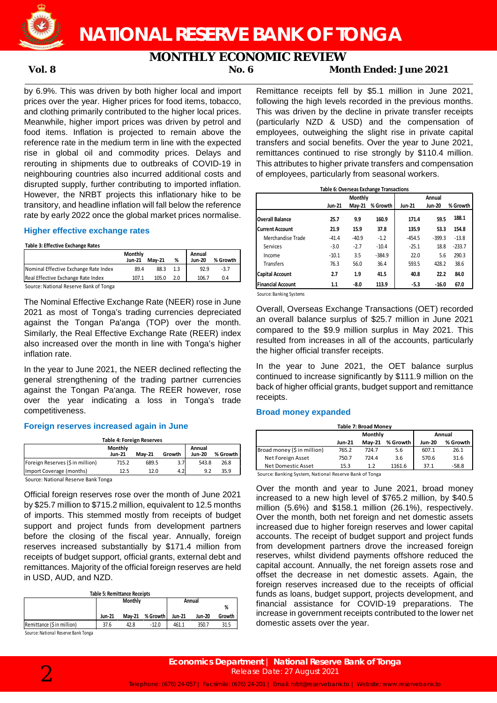

# **MONTHLY ECONOMIC REVIEW**<br>No. 6 Mor

## **Vol. 8 No. 6 Month Ended: June 2021**

by 6.9%. This was driven by both higher local and import prices over the year. Higher prices for food items, tobacco, and clothing primarily contributed to the higher local prices. Meanwhile, higher import prices was driven by petrol and food items. Inflation is projected to remain above the reference rate in the medium term in line with the expected rise in global oil and commodity prices. Delays and rerouting in shipments due to outbreaks of COVID-19 in neighbouring countries also incurred additional costs and disrupted supply, further contributing to imported inflation. However, the NRBT projects this inflationary hike to be transitory, and headline inflation will fall below the reference rate by early 2022 once the global market prices normalise.

### **Higher effective exchange rates**

#### **Table 3: Effective Exchange Rates**

|                                        | Monthly<br>Jun-21 | <b>Mav-21</b> | %   | Annual<br>Jun-20 | % Growth |
|----------------------------------------|-------------------|---------------|-----|------------------|----------|
| Nominal Effective Exchange Rate Index  | 89.4              | 88.3          | 1.3 | 92.9             | $-3.7$   |
| Real Effective Exchange Rate Index     | 107.1             | 105.0         | 2.0 | 106.7            | 0.4      |
| Source: National Reserve Bank of Tonga |                   |               |     |                  |          |

Source: National Reserve Bank of Tonga

The Nominal Effective Exchange Rate (NEER) rose in June 2021 as most of Tonga's trading currencies depreciated against the Tongan Pa'anga (TOP) over the month. Similarly, the Real Effective Exchange Rate (REER) index also increased over the month in line with Tonga's higher inflation rate.

In the year to June 2021, the NEER declined reflecting the general strengthening of the trading partner currencies against the Tongan Pa'anga. The REER however, rose over the year indicating a loss in Tonga's trade competitiveness.

### **Foreign reserves increased again in June**

| <b>Table 4: Foreign Reserves</b>                                                           |       |       |     |       |      |  |  |  |
|--------------------------------------------------------------------------------------------|-------|-------|-----|-------|------|--|--|--|
| Monthly<br>Annual<br>% Growth<br><b>Jun-20</b><br><b>Mav-21</b><br>Growth<br><b>Jun-21</b> |       |       |     |       |      |  |  |  |
| Foreign Reserves (\$ in million)                                                           | 715.2 | 689.5 | 3.7 | 543.8 | 26.8 |  |  |  |
| Import Coverage (months)                                                                   | 12.5  | 12.0  | 4.2 | 9.2   | 35.9 |  |  |  |
| Source: National Reserve Bank Tonga                                                        |       |       |     |       |      |  |  |  |

nal Reserve Ban

Official foreign reserves rose over the month of June 2021 by \$25.7 million to \$715.2 million, equivalent to 12.5 months of imports. This stemmed mostly from receipts of budget support and project funds from development partners before the closing of the fiscal year. Annually, foreign reserves increased substantially by \$171.4 million from receipts of budget support, official grants, external debt and remittances. Majority of the official foreign reserves are held in USD, AUD, and NZD.

| <b>Table 5: Remittance Receipts</b> |        |                |            |        |               |        |  |
|-------------------------------------|--------|----------------|------------|--------|---------------|--------|--|
|                                     |        | <b>Monthly</b> |            |        | Annual        |        |  |
|                                     |        |                |            |        |               | %      |  |
|                                     | Jun-21 | Mav-21         | % Growth I | Jun-21 | <b>Jun-20</b> | Growth |  |
| Remittance (\$ in million)          | 37.6   | 42.8           | $-12.0$    | 461.1  | 350.7         | 31.5   |  |
| .                                   |        |                |            |        |               |        |  |

Source: National Reserve Bank Tonga

Remittance receipts fell by \$5.1 million in June 2021, following the high levels recorded in the previous months. This was driven by the decline in private transfer receipts (particularly NZD & USD) and the compensation of employees, outweighing the slight rise in private capital transfers and social benefits. Over the year to June 2021, remittances continued to rise strongly by \$110.4 million. This attributes to higher private transfers and compensation of employees, particularly from seasonal workers.

| Table 6: Overseas Exchange Transactions |         |         |          |               |          |          |  |  |
|-----------------------------------------|---------|---------|----------|---------------|----------|----------|--|--|
|                                         |         | Monthly |          | Annual        |          |          |  |  |
|                                         | Jun-21  | May-21  | % Growth | <b>Jun-21</b> | Jun-20   | % Growth |  |  |
| Overall Balance                         | 25.7    | 9.9     | 160.9    | 171.4         | 59.5     | 188.1    |  |  |
| <b>Current Account</b>                  | 21.9    | 15.9    | 37.8     | 135.9         | 53.3     | 154.8    |  |  |
| Merchandise Trade                       | $-41.4$ | $-40.9$ | $-1.2$   | $-454.5$      | $-399.3$ | $-13.8$  |  |  |
| Services                                | $-3.0$  | $-2.7$  | $-10.4$  | $-25.1$       | 18.8     | $-233.7$ |  |  |
| Income                                  | $-10.1$ | 3.5     | $-384.9$ | 22.0          | 5.6      | 290.3    |  |  |
| Transfers                               | 76.3    | 56.0    | 36.4     | 593.5         | 428.2    | 38.6     |  |  |
| <b>Capital Account</b>                  | 2.7     | 1.9     | 41.5     | 40.8          | 22.2     | 84.0     |  |  |
| <b>Financial Account</b>                | 1.1     | -8.0    | 113.9    | $-5.3$        | $-16.0$  | 67.0     |  |  |

Source: Banking Systems

Overall, Overseas Exchange Transactions (OET) recorded an overall balance surplus of \$25.7 million in June 2021 compared to the \$9.9 million surplus in May 2021. This resulted from increases in all of the accounts, particularly the higher official transfer receipts.

In the year to June 2021, the OET balance surplus continued to increase significantly by \$111.9 million on the back of higher official grants, budget support and remittance receipts.

#### **Broad money expanded**

| <b>Table 7: Broad Money</b> |               |          |        |          |  |  |  |  |
|-----------------------------|---------------|----------|--------|----------|--|--|--|--|
| <b>Monthly</b><br>Annual    |               |          |        |          |  |  |  |  |
| <b>Jun-21</b>               | <b>Mav-21</b> | % Growth | Jun-20 | % Growth |  |  |  |  |
| 765.2                       | 724.7         | 5.6      | 607.1  | 26.1     |  |  |  |  |
| 750.7                       | 724.4         | 3.6      | 570.6  | 31.6     |  |  |  |  |
| 15.3                        | 1.2           | 1161.6   | 37.1   | $-58.8$  |  |  |  |  |
|                             |               |          |        |          |  |  |  |  |

Source: Banking System, National Reserve Bank of Tonga

Over the month and year to June 2021, broad money increased to a new high level of \$765.2 million, by \$40.5 million (5.6%) and \$158.1 million (26.1%), respectively. Over the month, both net foreign and net domestic assets increased due to higher foreign reserves and lower capital accounts. The receipt of budget support and project funds from development partners drove the increased foreign reserves, whilst dividend payments offshore reduced the capital account. Annually, the net foreign assets rose and offset the decrease in net domestic assets. Again, the foreign reserves increased due to the receipts of official funds as loans, budget support, projects development, and financial assistance for COVID-19 preparations. The increase in government receipts contributed to the lower net domestic assets over the year.